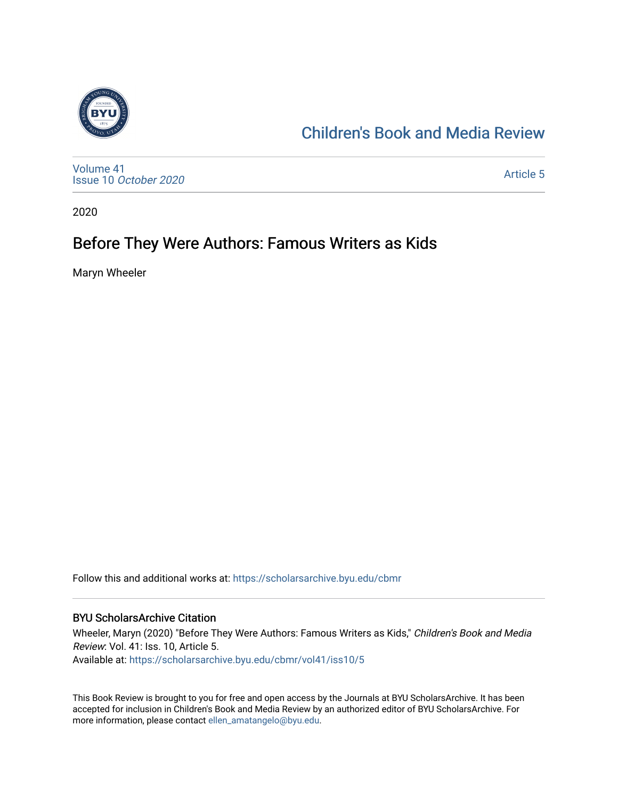

## [Children's Book and Media Review](https://scholarsarchive.byu.edu/cbmr)

[Volume 41](https://scholarsarchive.byu.edu/cbmr/vol41) Issue 10 [October 2020](https://scholarsarchive.byu.edu/cbmr/vol41/iss10)

[Article 5](https://scholarsarchive.byu.edu/cbmr/vol41/iss10/5) 

2020

## Before They Were Authors: Famous Writers as Kids

Maryn Wheeler

Follow this and additional works at: [https://scholarsarchive.byu.edu/cbmr](https://scholarsarchive.byu.edu/cbmr?utm_source=scholarsarchive.byu.edu%2Fcbmr%2Fvol41%2Fiss10%2F5&utm_medium=PDF&utm_campaign=PDFCoverPages) 

#### BYU ScholarsArchive Citation

Wheeler, Maryn (2020) "Before They Were Authors: Famous Writers as Kids," Children's Book and Media Review: Vol. 41: Iss. 10, Article 5. Available at: [https://scholarsarchive.byu.edu/cbmr/vol41/iss10/5](https://scholarsarchive.byu.edu/cbmr/vol41/iss10/5?utm_source=scholarsarchive.byu.edu%2Fcbmr%2Fvol41%2Fiss10%2F5&utm_medium=PDF&utm_campaign=PDFCoverPages)

This Book Review is brought to you for free and open access by the Journals at BYU ScholarsArchive. It has been accepted for inclusion in Children's Book and Media Review by an authorized editor of BYU ScholarsArchive. For more information, please contact [ellen\\_amatangelo@byu.edu.](mailto:ellen_amatangelo@byu.edu)